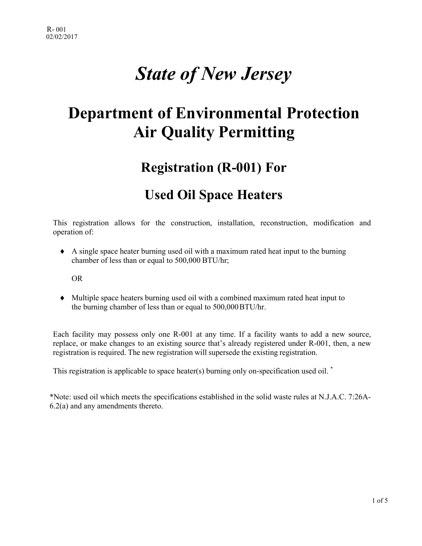## *State of New Jersey*

## **Department of Environmental Protection Air Quality Permitting**

### **Registration (R-001) For**

#### **Used Oil Space Heaters**

This registration allows for the construction, installation, reconstruction, modification and operation of:

 $\blacklozenge$  A single space heater burning used oil with a maximum rated heat input to the burning chamber of less than or equal to 500,000 BTU/hr;

OR

♦ Multiple space heaters burning used oil with a combined maximum rated heat input to the burning chamber of less than or equal to 500,000BTU/hr.

Each facility may possess only one R-001 at any time. If a facility wants to add a new source, replace, or make changes to an existing source that's already registered under R-001, then, a new registration is required. The new registration will supersede the existing registration.

This registration is applicable to space heater(s) burning only on-specification used oil.<sup>\*</sup>

\*Note: used oil which meets the specifications established in the solid waste rules at N.J.A.C. 7:26A-6.2(a) and any amendments thereto.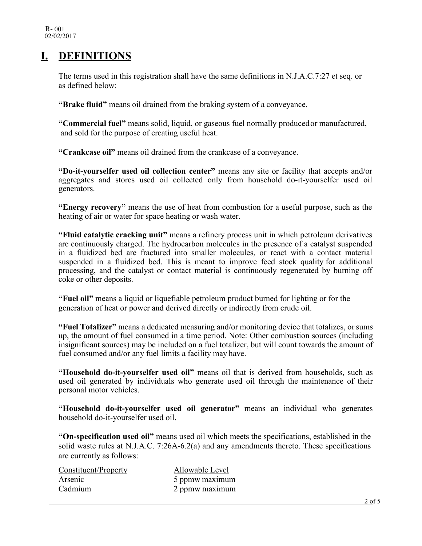#### **I. DEFINITIONS**

The terms used in this registration shall have the same definitions in N.J.A.C. 7:27 et seq. or as defined below:

**"Brake fluid"** means oil drained from the braking system of a conveyance.

**"Commercial fuel"** means solid, liquid, or gaseous fuel normally produced or manufactured, and sold for the purpose of creating useful heat.

**"Crankcase oil"** means oil drained from the crankcase of a conveyance.

**"Do-it-yourselfer used oil collection center"** means any site or facility that accepts and/or aggregates and stores used oil collected only from household do-it-yourselfer used oil generators.

**"Energy recovery"** means the use of heat from combustion for a useful purpose, such as the heating of air or water for space heating or wash water.

**"Fluid catalytic cracking unit"** means a refinery process unit in which petroleum derivatives are continuously charged. The hydrocarbon molecules in the presence of a catalyst suspended in a fluidized bed are fractured into smaller molecules, or react with a contact material suspended in a fluidized bed. This is meant to improve feed stock quality for additional processing, and the catalyst or contact material is continuously regenerated by burning off coke or other deposits.

**"Fuel oil"** means a liquid or liquefiable petroleum product burned for lighting or for the generation of heat or power and derived directly or indirectly from crude oil.

**"Fuel Totalizer"** means a dedicated measuring and/or monitoring device that totalizes, or sums up, the amount of fuel consumed in a time period. Note: Other combustion sources (including insignificant sources) may be included on a fuel totalizer, but will count towards the amount of fuel consumed and/or any fuel limits a facility may have.

**"Household do-it-yourselfer used oil"** means oil that is derived from households, such as used oil generated by individuals who generate used oil through the maintenance of their personal motor vehicles.

**"Household do-it-yourselfer used oil generator"** means an individual who generates household do-it-yourselfer used oil.

**"On-specification used oil"** means used oil which meets the specifications, established in the solid waste rules at N.J.A.C. 7:26A-6.2(a) and any amendments thereto. These specifications are currently as follows:

| Constituent/Property | Allowable Level |
|----------------------|-----------------|
| Arsenic              | 5 ppmw maximum  |
| Cadmium              | 2 ppmw maximum  |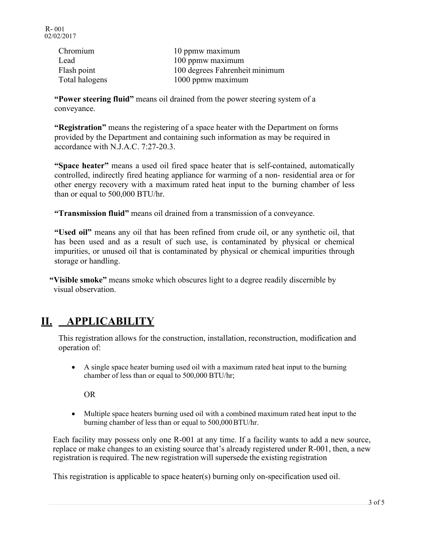| Chromium       | 10 ppmw maximum                |
|----------------|--------------------------------|
| Lead           | 100 ppmw maximum               |
| Flash point    | 100 degrees Fahrenheit minimum |
| Total halogens | 1000 ppmw maximum              |

**"Power steering fluid"** means oil drained from the power steering system of a conveyance.

**"Registration"** means the registering of a space heater with the Department on forms provided by the Department and containing such information as may be required in accordance with N.J.A.C. 7:27-20.3.

**"Space heater"** means a used oil fired space heater that is self-contained, automatically controlled, indirectly fired heating appliance for warming of a non- residential area or for other energy recovery with a maximum rated heat input to the burning chamber of less than or equal to 500,000 BTU/hr.

**"Transmission fluid"** means oil drained from a transmission of a conveyance.

**"Used oil"** means any oil that has been refined from crude oil, or any synthetic oil, that has been used and as a result of such use, is contaminated by physical or chemical impurities, or unused oil that is contaminated by physical or chemical impurities through storage or handling.

**"Visible smoke"** means smoke which obscures light to a degree readily discernible by visual observation.

#### **II. APPLICABILITY**

This registration allows for the construction, installation, reconstruction, modification and operation of:

• A single space heater burning used oil with a maximum rated heat input to the burning chamber of less than or equal to 500,000 BTU/hr;

OR

• Multiple space heaters burning used oil with a combined maximum rated heat input to the burning chamber of less than or equal to 500,000BTU/hr.

Each facility may possess only one R-001 at any time. If a facility wants to add a new source, replace or make changes to an existing source that's already registered under R-001, then, a new registration is required. The new registration will supersede the existing registration

This registration is applicable to space heater(s) burning only on-specification used oil.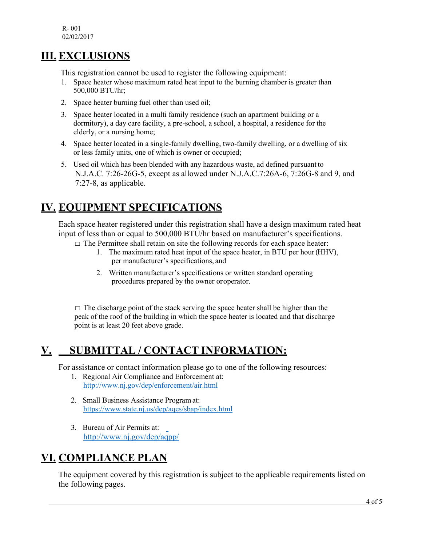#### **III. EXCLUSIONS**

This registration cannot be used to register the following equipment:

- 1. Space heater whose maximum rated heat input to the burning chamber is greater than 500,000 BTU/hr;
- 2. Space heater burning fuel other than used oil;
- 3. Space heater located in a multi family residence (such an apartment building or a dormitory), a day care facility, a pre-school, a school, a hospital, a residence for the elderly, or a nursing home;
- 4. Space heater located in a single-family dwelling, two-family dwelling, or a dwelling of six or less family units, one of which is owner or occupied;
- 5. Used oil which has been blended with any hazardous waste, ad defined pursuant to N.J.A.C. 7:26-26G-5, except as allowed under N.J.A.C.7:26A-6, 7:26G-8 and 9, and 7:27-8, as applicable.

#### **IV. EQUIPMENT SPECIFICATIONS**

Each space heater registered under this registration shall have a design maximum rated heat input of less than or equal to 500,000 BTU/hr based on manufacturer's specifications.

- $\Box$  The Permittee shall retain on site the following records for each space heater:
	- 1. The maximum rated heat input of the space heater, in BTU per hour (HHV), per manufacturer's specifications, and
	- 2. Written manufacturer's specifications or written standard operating procedures prepared by the owner oroperator.

 $\Box$  The discharge point of the stack serving the space heater shall be higher than the peak of the roof of the building in which the space heater is located and that discharge point is at least 20 feet above grade.

#### **V. SUBMITTAL / CONTACT INFORMATION:**

For assistance or contact information please go to one of the following resources:

- 1. Regional Air Compliance and Enforcement at: <http://www.nj.gov/dep/enforcement/air.html>
- 2. Small Business Assistance Program at: <https://www.state.nj.us/dep/aqes/sbap/index.html>
- 3. Bureau of Air Permits at: <http://www.nj.gov/dep/aqpp/>

#### **VI. COMPLIANCE PLAN**

The equipment covered by this registration is subject to the applicable requirements listed on the following pages.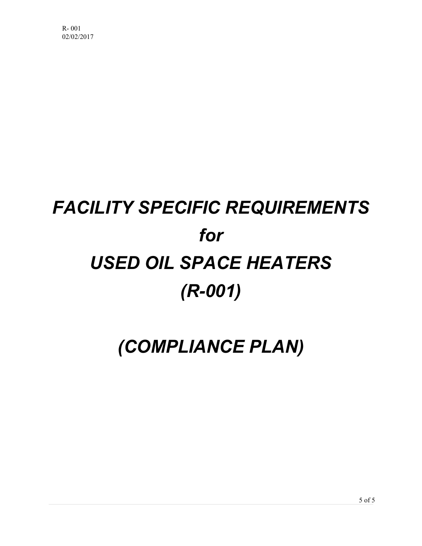# *FACILITY SPECIFIC REQUIREMENTS for USED OIL SPACE HEATERS (R-001)*

## *(COMPLIANCE PLAN)*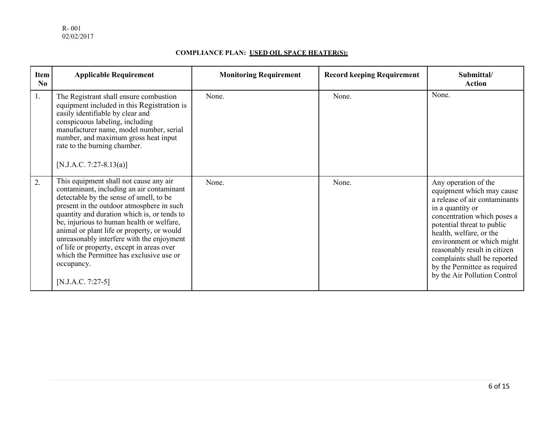#### **COMPLIANCE PLAN: USED OIL SPACE HEATER(S):**

| Item<br>No       | <b>Applicable Requirement</b>                                                                                                                                                                                                                                                                                                                                                                                                                                                                  | <b>Monitoring Requirement</b> | <b>Record keeping Requirement</b> | Submittal/<br><b>Action</b>                                                                                                                                                                                                                                                                                                                                  |
|------------------|------------------------------------------------------------------------------------------------------------------------------------------------------------------------------------------------------------------------------------------------------------------------------------------------------------------------------------------------------------------------------------------------------------------------------------------------------------------------------------------------|-------------------------------|-----------------------------------|--------------------------------------------------------------------------------------------------------------------------------------------------------------------------------------------------------------------------------------------------------------------------------------------------------------------------------------------------------------|
| 1.               | The Registrant shall ensure combustion<br>equipment included in this Registration is<br>easily identifiable by clear and<br>conspicuous labeling, including<br>manufacturer name, model number, serial<br>number, and maximum gross heat input<br>rate to the burning chamber.<br>[N.J.A.C. 7:27-8.13(a)]                                                                                                                                                                                      | None.                         | None.                             | None.                                                                                                                                                                                                                                                                                                                                                        |
| $\overline{2}$ . | This equipment shall not cause any air<br>contaminant, including an air contaminant<br>detectable by the sense of smell, to be<br>present in the outdoor atmosphere in such<br>quantity and duration which is, or tends to<br>be, injurious to human health or welfare,<br>animal or plant life or property, or would<br>unreasonably interfere with the enjoyment<br>of life or property, except in areas over<br>which the Permittee has exclusive use or<br>occupancy.<br>[N.J.A.C. 7:27-5] | None.                         | None.                             | Any operation of the<br>equipment which may cause<br>a release of air contaminants<br>in a quantity or<br>concentration which poses a<br>potential threat to public<br>health, welfare, or the<br>environment or which might<br>reasonably result in citizen<br>complaints shall be reported<br>by the Permittee as required<br>by the Air Pollution Control |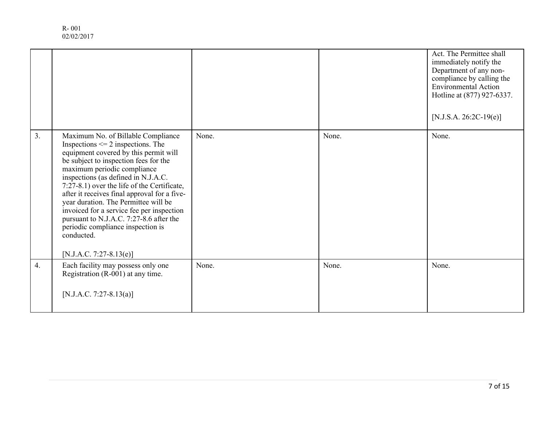| R-001      |
|------------|
| 02/02/2017 |

|                  |                                                                                                                                                                                                                                                                                                                                                                                                                                                                                                                                                  |       |       | Act. The Permittee shall<br>immediately notify the<br>Department of any non-<br>compliance by calling the<br><b>Environmental Action</b><br>Hotline at (877) 927-6337.<br>[N.J.S.A. 26:2C-19(e)] |
|------------------|--------------------------------------------------------------------------------------------------------------------------------------------------------------------------------------------------------------------------------------------------------------------------------------------------------------------------------------------------------------------------------------------------------------------------------------------------------------------------------------------------------------------------------------------------|-------|-------|--------------------------------------------------------------------------------------------------------------------------------------------------------------------------------------------------|
| $\overline{3}$ . | Maximum No. of Billable Compliance<br>Inspections $\leq$ 2 inspections. The<br>equipment covered by this permit will<br>be subject to inspection fees for the<br>maximum periodic compliance<br>inspections (as defined in N.J.A.C.<br>7:27-8.1) over the life of the Certificate,<br>after it receives final approval for a five-<br>year duration. The Permittee will be<br>invoiced for a service fee per inspection<br>pursuant to N.J.A.C. 7:27-8.6 after the<br>periodic compliance inspection is<br>conducted.<br>[N.J.A.C. 7:27-8.13(e)] | None. | None. | None.                                                                                                                                                                                            |
| 4.               | Each facility may possess only one<br>Registration (R-001) at any time.<br>[N.J.A.C. 7:27-8.13(a)]                                                                                                                                                                                                                                                                                                                                                                                                                                               | None. | None. | None.                                                                                                                                                                                            |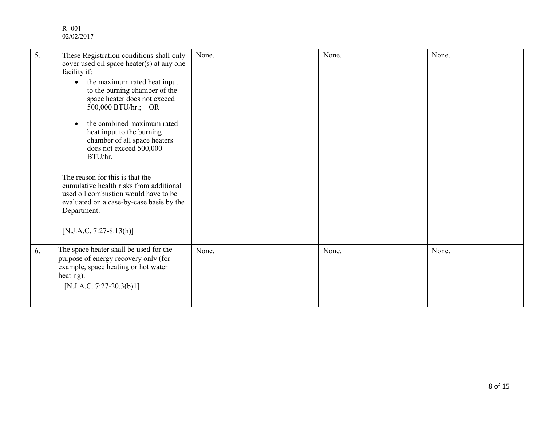| 5. | These Registration conditions shall only<br>cover used oil space heater(s) at any one<br>facility if:<br>the maximum rated heat input<br>$\bullet$<br>to the burning chamber of the<br>space heater does not exceed<br>500,000 BTU/hr.; OR<br>the combined maximum rated<br>heat input to the burning<br>chamber of all space heaters<br>does not exceed 500,000<br>BTU/hr.<br>The reason for this is that the<br>cumulative health risks from additional<br>used oil combustion would have to be<br>evaluated on a case-by-case basis by the<br>Department.<br>[N.J.A.C. 7:27-8.13(h)] | None. | None. | None. |
|----|-----------------------------------------------------------------------------------------------------------------------------------------------------------------------------------------------------------------------------------------------------------------------------------------------------------------------------------------------------------------------------------------------------------------------------------------------------------------------------------------------------------------------------------------------------------------------------------------|-------|-------|-------|
| 6. | The space heater shall be used for the<br>purpose of energy recovery only (for<br>example, space heating or hot water<br>heating).<br>[N.J.A.C. 7:27-20.3(b)1]                                                                                                                                                                                                                                                                                                                                                                                                                          | None. | None. | None. |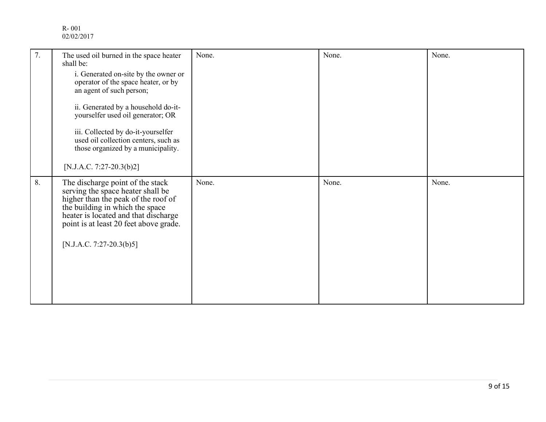| 7. | The used oil burned in the space heater<br>shall be:<br>i. Generated on-site by the owner or<br>operator of the space heater, or by<br>an agent of such person;<br>ii. Generated by a household do-it-<br>yourselfer used oil generator; OR<br>iii. Collected by do-it-yourselfer<br>used oil collection centers, such as<br>those organized by a municipality.<br>[N.J.A.C. 7:27-20.3(b)2] | None. | None. | None. |
|----|---------------------------------------------------------------------------------------------------------------------------------------------------------------------------------------------------------------------------------------------------------------------------------------------------------------------------------------------------------------------------------------------|-------|-------|-------|
| 8. | The discharge point of the stack<br>serving the space heater shall be<br>higher than the peak of the roof of<br>the building in which the space<br>heater is located and that discharge<br>point is at least 20 feet above grade.<br>[N.J.A.C. 7:27-20.3(b)5]                                                                                                                               | None. | None. | None. |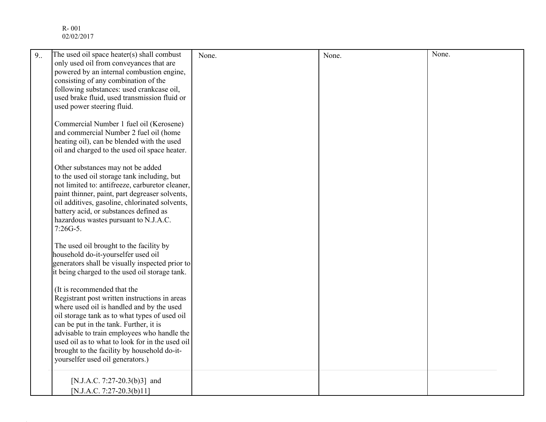| 9.0 | The used oil space heater(s) shall combust                                                       | None. | None. | None. |
|-----|--------------------------------------------------------------------------------------------------|-------|-------|-------|
|     | only used oil from conveyances that are<br>powered by an internal combustion engine,             |       |       |       |
|     | consisting of any combination of the                                                             |       |       |       |
|     | following substances: used crankcase oil,                                                        |       |       |       |
|     | used brake fluid, used transmission fluid or                                                     |       |       |       |
|     | used power steering fluid.                                                                       |       |       |       |
|     | Commercial Number 1 fuel oil (Kerosene)                                                          |       |       |       |
|     | and commercial Number 2 fuel oil (home                                                           |       |       |       |
|     | heating oil), can be blended with the used                                                       |       |       |       |
|     | oil and charged to the used oil space heater.                                                    |       |       |       |
|     | Other substances may not be added                                                                |       |       |       |
|     | to the used oil storage tank including, but                                                      |       |       |       |
|     | not limited to: antifreeze, carburetor cleaner,                                                  |       |       |       |
|     | paint thinner, paint, part degreaser solvents,<br>oil additives, gasoline, chlorinated solvents, |       |       |       |
|     | battery acid, or substances defined as                                                           |       |       |       |
|     | hazardous wastes pursuant to N.J.A.C.                                                            |       |       |       |
|     | $7:26G-5.$                                                                                       |       |       |       |
|     | The used oil brought to the facility by                                                          |       |       |       |
|     | household do-it-yourselfer used oil                                                              |       |       |       |
|     | generators shall be visually inspected prior to                                                  |       |       |       |
|     | it being charged to the used oil storage tank.                                                   |       |       |       |
|     | (It is recommended that the                                                                      |       |       |       |
|     | Registrant post written instructions in areas                                                    |       |       |       |
|     | where used oil is handled and by the used                                                        |       |       |       |
|     | oil storage tank as to what types of used oil                                                    |       |       |       |
|     | can be put in the tank. Further, it is<br>advisable to train employees who handle the            |       |       |       |
|     | used oil as to what to look for in the used oil                                                  |       |       |       |
|     | brought to the facility by household do-it-                                                      |       |       |       |
|     | yourselfer used oil generators.)                                                                 |       |       |       |
|     | [N.J.A.C. 7:27-20.3(b)3] and                                                                     |       |       |       |
|     | [N.J.A.C. 7:27-20.3(b)11]                                                                        |       |       |       |
|     |                                                                                                  |       |       |       |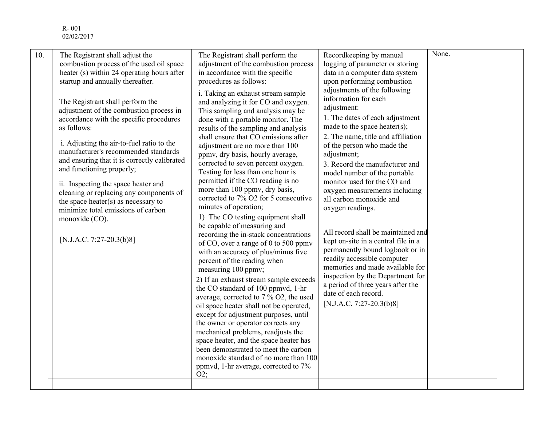| 10. | The Registrant shall adjust the<br>combustion process of the used oil space<br>heater (s) within 24 operating hours after<br>startup and annually thereafter.<br>The Registrant shall perform the<br>adjustment of the combustion process in<br>accordance with the specific procedures<br>as follows:<br>i. Adjusting the air-to-fuel ratio to the<br>manufacturer's recommended standards<br>and ensuring that it is correctly calibrated<br>and functioning properly;<br>ii. Inspecting the space heater and<br>cleaning or replacing any components of<br>the space heater(s) as necessary to<br>minimize total emissions of carbon<br>monoxide (CO).<br>[N.J.A.C. 7:27-20.3(b)8] | The Registrant shall perform the<br>adjustment of the combustion process<br>in accordance with the specific<br>procedures as follows:<br>i. Taking an exhaust stream sample<br>and analyzing it for CO and oxygen.<br>This sampling and analysis may be<br>done with a portable monitor. The<br>results of the sampling and analysis<br>shall ensure that CO emissions after<br>adjustment are no more than 100<br>ppmv, dry basis, hourly average,<br>corrected to seven percent oxygen.<br>Testing for less than one hour is<br>permitted if the CO reading is no<br>more than 100 ppmv, dry basis,<br>corrected to 7% O2 for 5 consecutive<br>minutes of operation;<br>1) The CO testing equipment shall<br>be capable of measuring and<br>recording the in-stack concentrations<br>of CO, over a range of 0 to 500 ppmv<br>with an accuracy of plus/minus five<br>percent of the reading when<br>measuring 100 ppmv;<br>2) If an exhaust stream sample exceeds<br>the CO standard of 100 ppmvd, 1-hr<br>average, corrected to 7 % O2, the used<br>oil space heater shall not be operated,<br>except for adjustment purposes, until<br>the owner or operator corrects any<br>mechanical problems, readjusts the<br>space heater, and the space heater has<br>been demonstrated to meet the carbon<br>monoxide standard of no more than 100<br>ppmvd, 1-hr average, corrected to 7%<br>O2; | Recordkeeping by manual<br>logging of parameter or storing<br>data in a computer data system<br>upon performing combustion<br>adjustments of the following<br>information for each<br>adjustment:<br>1. The dates of each adjustment<br>made to the space heater(s);<br>2. The name, title and affiliation<br>of the person who made the<br>adjustment;<br>3. Record the manufacturer and<br>model number of the portable<br>monitor used for the CO and<br>oxygen measurements including<br>all carbon monoxide and<br>oxygen readings.<br>All record shall be maintained and<br>kept on-site in a central file in a<br>permanently bound logbook or in<br>readily accessible computer<br>memories and made available for<br>inspection by the Department for<br>a period of three years after the<br>date of each record.<br>[N.J.A.C. 7:27-20.3(b)8] | None. |
|-----|---------------------------------------------------------------------------------------------------------------------------------------------------------------------------------------------------------------------------------------------------------------------------------------------------------------------------------------------------------------------------------------------------------------------------------------------------------------------------------------------------------------------------------------------------------------------------------------------------------------------------------------------------------------------------------------|----------------------------------------------------------------------------------------------------------------------------------------------------------------------------------------------------------------------------------------------------------------------------------------------------------------------------------------------------------------------------------------------------------------------------------------------------------------------------------------------------------------------------------------------------------------------------------------------------------------------------------------------------------------------------------------------------------------------------------------------------------------------------------------------------------------------------------------------------------------------------------------------------------------------------------------------------------------------------------------------------------------------------------------------------------------------------------------------------------------------------------------------------------------------------------------------------------------------------------------------------------------------------------------------------------------------------------------------------------------------------------------------|---------------------------------------------------------------------------------------------------------------------------------------------------------------------------------------------------------------------------------------------------------------------------------------------------------------------------------------------------------------------------------------------------------------------------------------------------------------------------------------------------------------------------------------------------------------------------------------------------------------------------------------------------------------------------------------------------------------------------------------------------------------------------------------------------------------------------------------------------------|-------|
|-----|---------------------------------------------------------------------------------------------------------------------------------------------------------------------------------------------------------------------------------------------------------------------------------------------------------------------------------------------------------------------------------------------------------------------------------------------------------------------------------------------------------------------------------------------------------------------------------------------------------------------------------------------------------------------------------------|----------------------------------------------------------------------------------------------------------------------------------------------------------------------------------------------------------------------------------------------------------------------------------------------------------------------------------------------------------------------------------------------------------------------------------------------------------------------------------------------------------------------------------------------------------------------------------------------------------------------------------------------------------------------------------------------------------------------------------------------------------------------------------------------------------------------------------------------------------------------------------------------------------------------------------------------------------------------------------------------------------------------------------------------------------------------------------------------------------------------------------------------------------------------------------------------------------------------------------------------------------------------------------------------------------------------------------------------------------------------------------------------|---------------------------------------------------------------------------------------------------------------------------------------------------------------------------------------------------------------------------------------------------------------------------------------------------------------------------------------------------------------------------------------------------------------------------------------------------------------------------------------------------------------------------------------------------------------------------------------------------------------------------------------------------------------------------------------------------------------------------------------------------------------------------------------------------------------------------------------------------------|-------|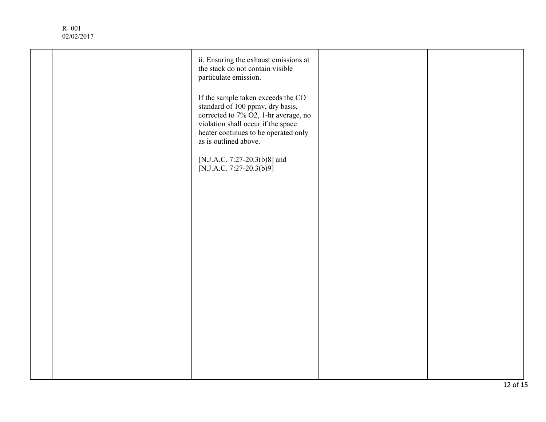|  | ii. Ensuring the exhaust emissions at<br>the stack do not contain visible<br>particulate emission.                                                                                                                    |  |
|--|-----------------------------------------------------------------------------------------------------------------------------------------------------------------------------------------------------------------------|--|
|  | If the sample taken exceeds the CO<br>standard of 100 ppmv, dry basis,<br>corrected to 7% O2, 1-hr average, no<br>violation shall occur if the space<br>heater continues to be operated only<br>as is outlined above. |  |
|  | [N.J.A.C. 7:27-20.3(b)8] and<br>[N.J.A.C. 7:27-20.3(b)9]                                                                                                                                                              |  |
|  |                                                                                                                                                                                                                       |  |
|  |                                                                                                                                                                                                                       |  |
|  |                                                                                                                                                                                                                       |  |
|  |                                                                                                                                                                                                                       |  |
|  |                                                                                                                                                                                                                       |  |
|  |                                                                                                                                                                                                                       |  |
|  |                                                                                                                                                                                                                       |  |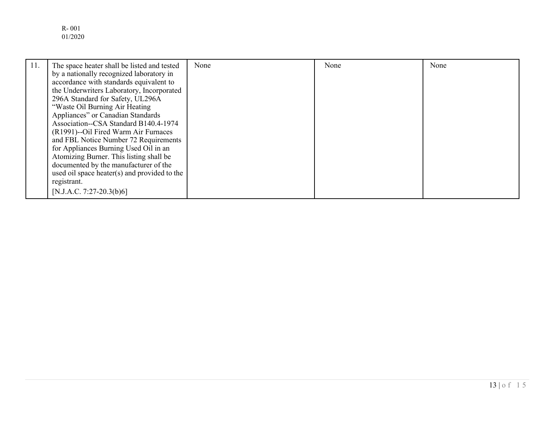R- 001 01/2020

| 11. | The space heater shall be listed and tested<br>by a nationally recognized laboratory in<br>accordance with standards equivalent to<br>the Underwriters Laboratory, Incorporated<br>296A Standard for Safety, UL296A<br>"Waste Oil Burning Air Heating<br>Appliances" or Canadian Standards<br>Association--CSA Standard B140.4-1974<br>(R1991)--Oil Fired Warm Air Furnaces<br>and FBL Notice Number 72 Requirements<br>for Appliances Burning Used Oil in an<br>Atomizing Burner. This listing shall be<br>documented by the manufacturer of the | None | None | None |
|-----|---------------------------------------------------------------------------------------------------------------------------------------------------------------------------------------------------------------------------------------------------------------------------------------------------------------------------------------------------------------------------------------------------------------------------------------------------------------------------------------------------------------------------------------------------|------|------|------|
|     | used oil space heater(s) and provided to the<br>registrant.                                                                                                                                                                                                                                                                                                                                                                                                                                                                                       |      |      |      |
|     | [N.J.A.C. 7:27-20.3(b)6]                                                                                                                                                                                                                                                                                                                                                                                                                                                                                                                          |      |      |      |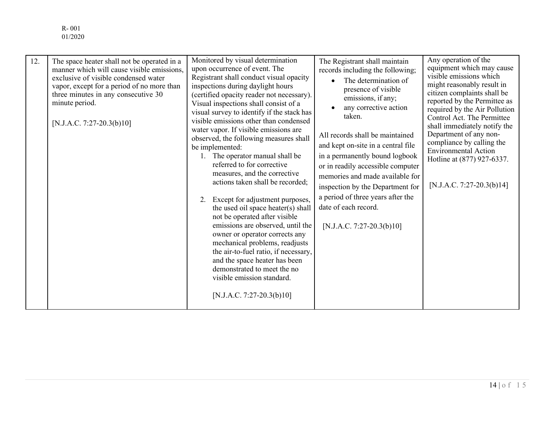R- 001 01/2020

| 12. | The space heater shall not be operated in a<br>manner which will cause visible emissions,<br>exclusive of visible condensed water<br>vapor, except for a period of no more than<br>three minutes in any consecutive 30<br>minute period.<br>[N.J.A.C. 7:27-20.3(b)10] | Monitored by visual determination<br>upon occurrence of event. The<br>Registrant shall conduct visual opacity<br>inspections during daylight hours<br>(certified opacity reader not necessary).<br>Visual inspections shall consist of a<br>visual survey to identify if the stack has<br>visible emissions other than condensed<br>water vapor. If visible emissions are<br>observed, the following measures shall<br>be implemented:<br>1. The operator manual shall be<br>referred to for corrective<br>measures, and the corrective<br>actions taken shall be recorded;<br>Except for adjustment purposes,<br>2.<br>the used oil space heater(s) shall<br>not be operated after visible<br>emissions are observed, until the<br>owner or operator corrects any<br>mechanical problems, readjusts<br>the air-to-fuel ratio, if necessary,<br>and the space heater has been<br>demonstrated to meet the no<br>visible emission standard.<br>[N.J.A.C. 7:27-20.3(b)10] | The Registrant shall maintain<br>records including the following;<br>The determination of<br>presence of visible<br>emissions, if any;<br>any corrective action<br>taken.<br>All records shall be maintained<br>and kept on-site in a central file<br>in a permanently bound logbook<br>or in readily accessible computer<br>memories and made available for<br>inspection by the Department for<br>a period of three years after the<br>date of each record.<br>[N.J.A.C. 7:27-20.3(b)10] | Any operation of the<br>equipment which may cause<br>visible emissions which<br>might reasonably result in<br>citizen complaints shall be<br>reported by the Permittee as<br>required by the Air Pollution<br>Control Act. The Permittee<br>shall immediately notify the<br>Department of any non-<br>compliance by calling the<br><b>Environmental Action</b><br>Hotline at (877) 927-6337.<br>[N.J.A.C. 7:27-20.3(b)14] |
|-----|-----------------------------------------------------------------------------------------------------------------------------------------------------------------------------------------------------------------------------------------------------------------------|-------------------------------------------------------------------------------------------------------------------------------------------------------------------------------------------------------------------------------------------------------------------------------------------------------------------------------------------------------------------------------------------------------------------------------------------------------------------------------------------------------------------------------------------------------------------------------------------------------------------------------------------------------------------------------------------------------------------------------------------------------------------------------------------------------------------------------------------------------------------------------------------------------------------------------------------------------------------------|--------------------------------------------------------------------------------------------------------------------------------------------------------------------------------------------------------------------------------------------------------------------------------------------------------------------------------------------------------------------------------------------------------------------------------------------------------------------------------------------|---------------------------------------------------------------------------------------------------------------------------------------------------------------------------------------------------------------------------------------------------------------------------------------------------------------------------------------------------------------------------------------------------------------------------|
|-----|-----------------------------------------------------------------------------------------------------------------------------------------------------------------------------------------------------------------------------------------------------------------------|-------------------------------------------------------------------------------------------------------------------------------------------------------------------------------------------------------------------------------------------------------------------------------------------------------------------------------------------------------------------------------------------------------------------------------------------------------------------------------------------------------------------------------------------------------------------------------------------------------------------------------------------------------------------------------------------------------------------------------------------------------------------------------------------------------------------------------------------------------------------------------------------------------------------------------------------------------------------------|--------------------------------------------------------------------------------------------------------------------------------------------------------------------------------------------------------------------------------------------------------------------------------------------------------------------------------------------------------------------------------------------------------------------------------------------------------------------------------------------|---------------------------------------------------------------------------------------------------------------------------------------------------------------------------------------------------------------------------------------------------------------------------------------------------------------------------------------------------------------------------------------------------------------------------|